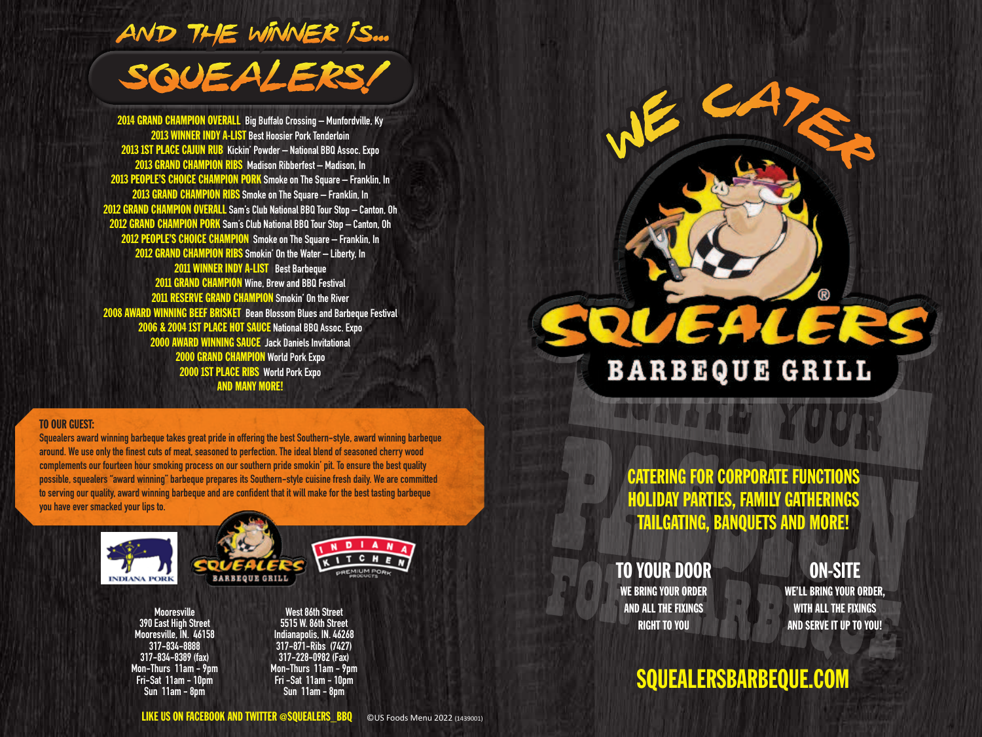

2014 GRAND CHAMPION OVERALL **Big Buffalo Crossing – Munfordville, Ky** 2013 WINNER INDY A-LIST **Best Hoosier Pork Tenderloin** 2013 1ST PLACE CAJUN RUB **Kickin' Powder – National BBQ Assoc. Expo** 2013 GRAND CHAMPION RIBS **Madison Ribberfest – Madison, In** 2013 PEOPLE'S CHOICE CHAMPION PORK **Smoke on The Square – Franklin, In** 2013 GRAND CHAMPION RIBS **Smoke on The Square – Franklin, In** 2012 GRAND CHAMPION OVERALL **Sam's Club National BBQ Tour Stop – Canton, Oh** 2012 GRAND CHAMPION PORK **Sam's Club National BBQ Tour Stop – Canton, Oh** 2012 PEOPLE'S CHOICE CHAMPION **Smoke on The Square – Franklin, In** 2012 GRAND CHAMPION RIBS **Smokin' On the Water – Liberty, In** 2011 WINNER INDY A-LIST **Best Barbeque** 2011 GRAND CHAMPION **Wine, Brew and BBQ Festival** 2011 RESERVE GRAND CHAMPION **Smokin' On the River** 2008 AWARD WINNING BEEF BRISKET **Bean Blossom Blues and Barbeque Festival** 2006 & 2004 1ST PLACE HOT SAUCE **National BBQ Assoc. Expo** 2000 AWARD WINNING SAUCE **Jack Daniels Invitational** 2000 GRAND CHAMPION **World Pork Expo** 2000 1ST PLACE RIBS **World Pork Expo** AND MANY MORE!

#### TO OUR GUEST:

**Squealers award winning barbeque takes great pride in offering the best Southern-style, award winning barbeque around. We use only the finest cuts of meat, seasoned to perfection. The ideal blend of seasoned cherry wood complements our fourteen hour smoking process on our southern pride smokin' pit. To ensure the best quality possible, squealers "award winning" barbeque prepares its Southern-style cuisine fresh daily. We are committed to serving our quality, award winning barbeque and are confident that it will make for the best tasting barbeque you have ever smacked your lips to.**



**Mooresville 390 East High Street Mooresville, IN. 46158 317-834-8888 317-834-8389 (fax) Mon-Thurs 11am - 9pm Fri-Sat 11am - 10pm Sun 11am - 8pm**

**West 86th Street 5515 W. 86th Street Indianapolis, IN. 46268 317-871-Ribs (7427) 317-228-0982 (Fax) Mon-Thurs 11am - 9pm Fri -Sat 11am - 10pm Sun 11am - 8pm**

# EALERS **BARBEQUE GRILL**

 $W^{CAP}$ 

CATERING FOR CORPORATE FUNCTIONS HOLIDAY PARTIES, FAMILY GATHERINGS TAILGATING, BANQUETS AND MORE!

TO YOUR DOOR WE BRING YOUR ORDER AND ALL THE FIXINGS RIGHT TO YOU

ON-SITE

**R** 

WE'LL BRING YOUR ORDER, WITH ALL THE FIXINGS AND SERVE IT UP TO YOU!

### SQUEALERSBARBEQUE.COM

LIKE US ON FACEBOOK AND TWITTER @SQUEALERS\_BBQ